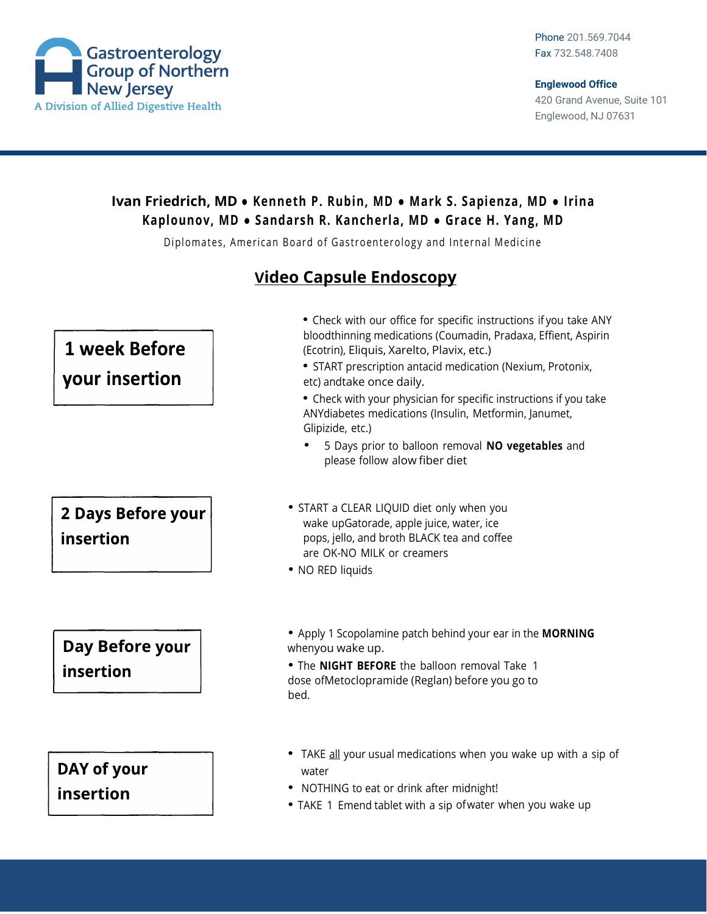

## **Ivan Friedrich, MD ● Kenneth P. Rubin, MD ● Mark S. Sapienza, MD ● Irina Kaplounov, MD ● Sandarsh R. Kancherla, MD ● Grace H. Yang, MD**

Diplomates, American Board of Gastroenterology and Internal Medicine

## **Video Capsule Endoscopy**

| <b>1 week Before</b><br>your insertion | • Check with our office for specific instructions if you take ANY<br>bloodthinning medications (Coumadin, Pradaxa, Effient, Aspirin<br>(Ecotrin), Eliquis, Xarelto, Plavix, etc.)<br>• START prescription antacid medication (Nexium, Protonix,<br>etc) andtake once daily.<br>• Check with your physician for specific instructions if you take<br>ANYdiabetes medications (Insulin, Metformin, Janumet,<br>Glipizide, etc.)<br>5 Days prior to balloon removal NO vegetables and<br>please follow alow fiber diet |
|----------------------------------------|---------------------------------------------------------------------------------------------------------------------------------------------------------------------------------------------------------------------------------------------------------------------------------------------------------------------------------------------------------------------------------------------------------------------------------------------------------------------------------------------------------------------|
| <b>2 Days Before your</b><br>insertion | • START a CLEAR LIQUID diet only when you<br>wake upGatorade, apple juice, water, ice<br>pops, jello, and broth BLACK tea and coffee<br>are OK-NO MILK or creamers<br>• NO RED liquids                                                                                                                                                                                                                                                                                                                              |
| Day Before your<br>insertion           | • Apply 1 Scopolamine patch behind your ear in the <b>MORNING</b><br>whenyou wake up.<br>. The NIGHT BEFORE the balloon removal Take 1<br>dose ofMetoclopramide (Reglan) before you go to<br>bed.                                                                                                                                                                                                                                                                                                                   |
| DAY of your<br>insertion               | TAKE all your usual medications when you wake up with a sip of<br>water<br>NOTHING to eat or drink after midnight!<br>• TAKE 1 Emend tablet with a sip of water when you wake up                                                                                                                                                                                                                                                                                                                                    |